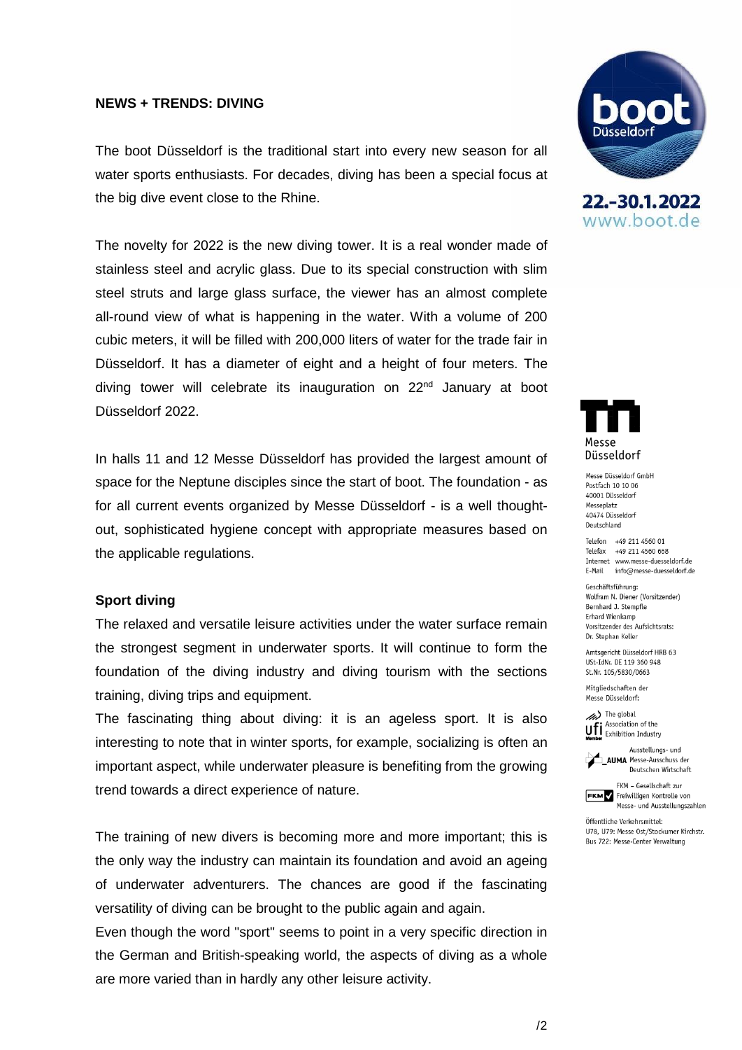## **NEWS + TRENDS: DIVING**

The boot Düsseldorf is the traditional start into every new season for all water sports enthusiasts. For decades, diving has been a special focus at the big dive event close to the Rhine.

The novelty for 2022 is the new diving tower. It is a real wonder made of stainless steel and acrylic glass. Due to its special construction with slim steel struts and large glass surface, the viewer has an almost complete all-round view of what is happening in the water. With a volume of 200 cubic meters, it will be filled with 200,000 liters of water for the trade fair in Düsseldorf. It has a diameter of eight and a height of four meters. The diving tower will celebrate its inauguration on 22<sup>nd</sup> January at boot Düsseldorf 2022.

In halls 11 and 12 Messe Düsseldorf has provided the largest amount of space for the Neptune disciples since the start of boot. The foundation - as for all current events organized by Messe Düsseldorf - is a well thoughtout, sophisticated hygiene concept with appropriate measures based on the applicable regulations.

## **Sport diving**

The relaxed and versatile leisure activities under the water surface remain the strongest segment in underwater sports. It will continue to form the foundation of the diving industry and diving tourism with the sections training, diving trips and equipment.

The fascinating thing about diving: it is an ageless sport. It is also interesting to note that in winter sports, for example, socializing is often an important aspect, while underwater pleasure is benefiting from the growing trend towards a direct experience of nature.

The training of new divers is becoming more and more important; this is the only way the industry can maintain its foundation and avoid an ageing of underwater adventurers. The chances are good if the fascinating versatility of diving can be brought to the public again and again.

Even though the word "sport" seems to point in a very specific direction in the German and British-speaking world, the aspects of diving as a whole are more varied than in hardly any other leisure activity.







Massa Diissaldorf GmhH Postfach 10 10 06 40001 Düsseldorf Messeplatz 40474 Düsseldorf Deutschland

Telefon +49 211 4560 01 Telefax +49 211 4560 668 Internet www.messe-duesseldorf.de E-Mail info@messe-duesseldorf.de

Geschäftsführung: Wolfram N. Diener (Vorsitzender) Bernhard J. Stempfle Erhard Wienkamp Vorsitzender des Aufsichtsrats: Dr. Stephan Keller

Amtsgericht Düsseldorf HRB 63 USt-IdNr. DE 119 360 948 St.Nr. 105/5830/0663

Mitgliedschaften der Messe Düsseldorf:





FKM - Gesellschaft zur **FRANCE FRANCE SEARCH PROPERTY SEARCH PROPERTY SEARCH PROPERTY**<br>Messe- und Ausstellungszahlen

Öffentliche Verkehrsmittel: 1178 1179: Messe Ost/Stockumer Kirchstr. Bus 722: Messe-Center Verwaltung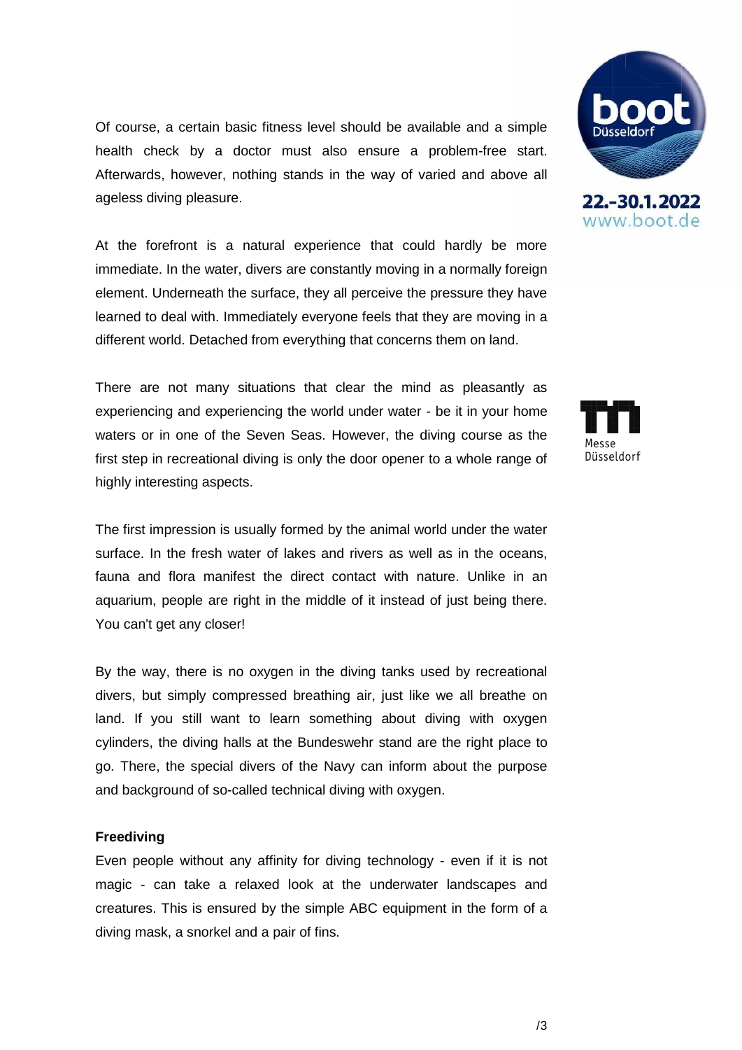Of course, a certain basic fitness level should be available and a simple health check by a doctor must also ensure a problem-free start. Afterwards, however, nothing stands in the way of varied and above all ageless diving pleasure.

At the forefront is a natural experience that could hardly be more immediate. In the water, divers are constantly moving in a normally foreign element. Underneath the surface, they all perceive the pressure they have learned to deal with. Immediately everyone feels that they are moving in a different world. Detached from everything that concerns them on land.

There are not many situations that clear the mind as pleasantly as experiencing and experiencing the world under water - be it in your home waters or in one of the Seven Seas. However, the diving course as the first step in recreational diving is only the door opener to a whole range of highly interesting aspects.

The first impression is usually formed by the animal world under the water surface. In the fresh water of lakes and rivers as well as in the oceans, fauna and flora manifest the direct contact with nature. Unlike in an aquarium, people are right in the middle of it instead of just being there. You can't get any closer!

By the way, there is no oxygen in the diving tanks used by recreational divers, but simply compressed breathing air, just like we all breathe on land. If you still want to learn something about diving with oxygen cylinders, the diving halls at the Bundeswehr stand are the right place to go. There, the special divers of the Navy can inform about the purpose and background of so-called technical diving with oxygen.

#### **Freediving**

Even people without any affinity for diving technology - even if it is not magic - can take a relaxed look at the underwater landscapes and creatures. This is ensured by the simple ABC equipment in the form of a diving mask, a snorkel and a pair of fins.





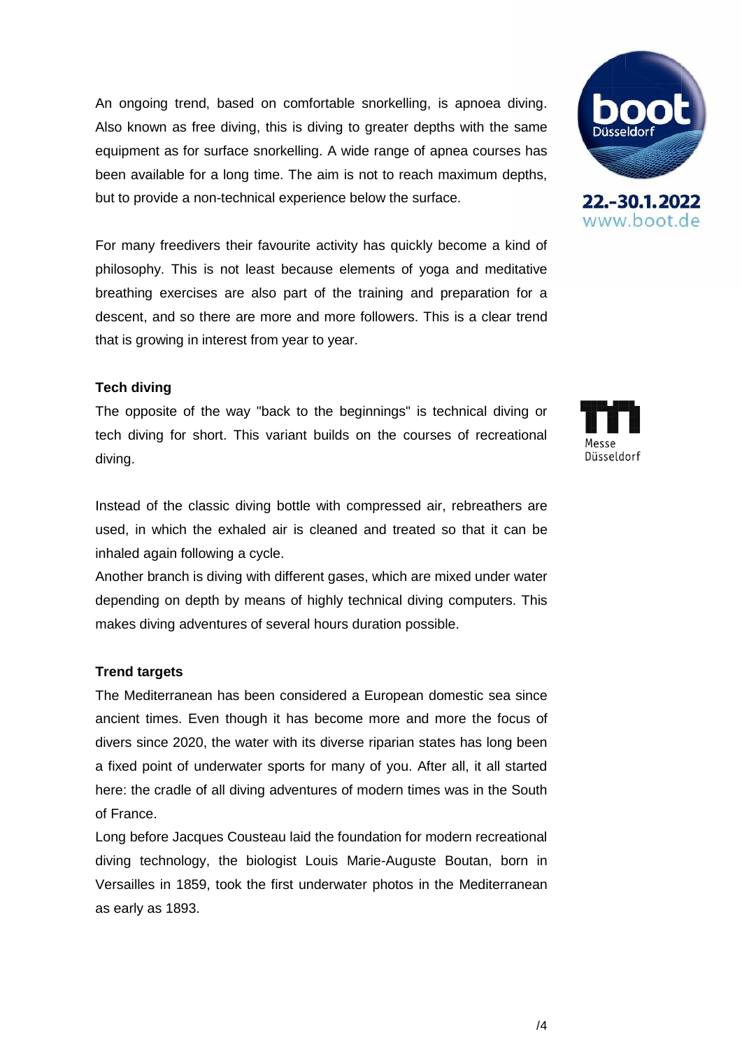An ongoing trend, based on comfortable snorkelling, is apnoea diving. Also known as free diving, this is diving to greater depths with the same equipment as for surface snorkelling. A wide range of apnea courses has been available for a long time. The aim is not to reach maximum depths, but to provide a non-technical experience below the surface.

For many freedivers their favourite activity has quickly become a kind of philosophy. This is not least because elements of yoga and meditative breathing exercises are also part of the training and preparation for a descent, and so there are more and more followers. This is a clear trend that is growing in interest from year to year.

## **Tech diving**

The opposite of the way "back to the beginnings" is technical diving or tech diving for short. This variant builds on the courses of recreational diving.

Instead of the classic diving bottle with compressed air, rebreathers are used, in which the exhaled air is cleaned and treated so that it can be inhaled again following a cycle.

Another branch is diving with different gases, which are mixed under water depending on depth by means of highly technical diving computers. This makes diving adventures of several hours duration possible.

## **Trend targets**

The Mediterranean has been considered a European domestic sea since ancient times. Even though it has become more and more the focus of divers since 2020, the water with its diverse riparian states has long been a fixed point of underwater sports for many of you. After all, it all started here: the cradle of all diving adventures of modern times was in the South of France.

Long before Jacques Cousteau laid the foundation for modern recreational diving technology, the biologist Louis Marie-Auguste Boutan, born in Versailles in 1859, took the first underwater photos in the Mediterranean as early as 1893.



www.boot.de

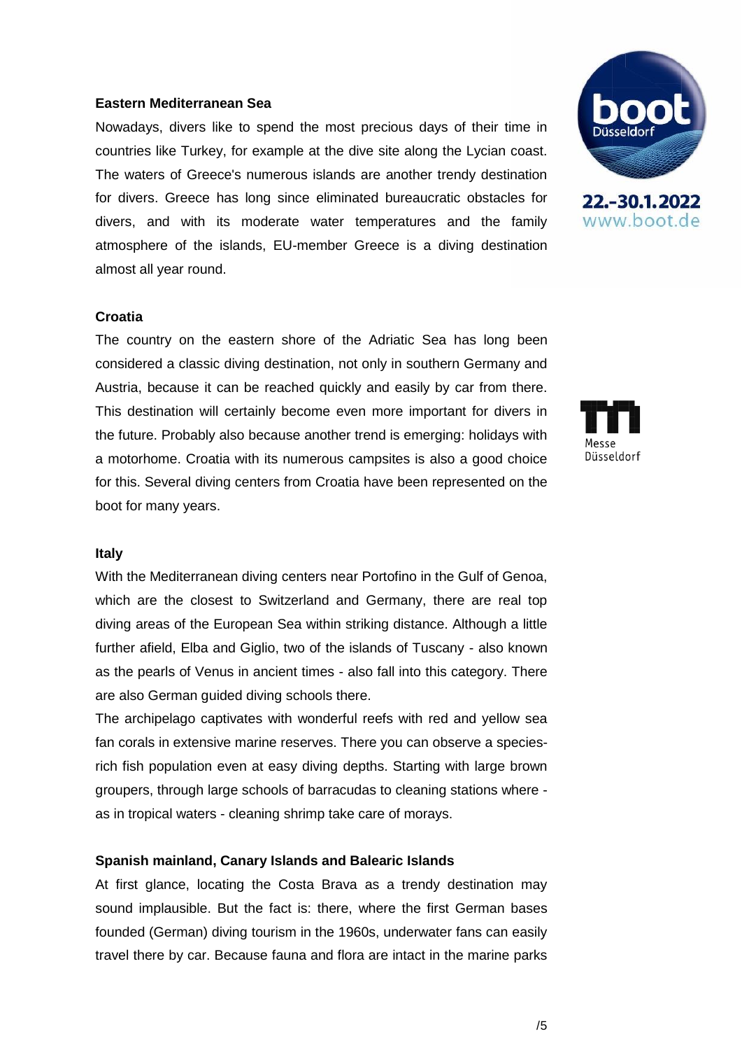### **Eastern Mediterranean Sea**

Nowadays, divers like to spend the most precious days of their time in countries like Turkey, for example at the dive site along the Lycian coast. The waters of Greece's numerous islands are another trendy destination for divers. Greece has long since eliminated bureaucratic obstacles for divers, and with its moderate water temperatures and the family atmosphere of the islands, EU-member Greece is a diving destination almost all year round.

### **Croatia**

The country on the eastern shore of the Adriatic Sea has long been considered a classic diving destination, not only in southern Germany and Austria, because it can be reached quickly and easily by car from there. This destination will certainly become even more important for divers in the future. Probably also because another trend is emerging: holidays with a motorhome. Croatia with its numerous campsites is also a good choice for this. Several diving centers from Croatia have been represented on the boot for many years.

### **Italy**

With the Mediterranean diving centers near Portofino in the Gulf of Genoa, which are the closest to Switzerland and Germany, there are real top diving areas of the European Sea within striking distance. Although a little further afield, Elba and Giglio, two of the islands of Tuscany - also known as the pearls of Venus in ancient times - also fall into this category. There are also German guided diving schools there.

The archipelago captivates with wonderful reefs with red and yellow sea fan corals in extensive marine reserves. There you can observe a speciesrich fish population even at easy diving depths. Starting with large brown groupers, through large schools of barracudas to cleaning stations where as in tropical waters - cleaning shrimp take care of morays.

## **Spanish mainland, Canary Islands and Balearic Islands**

At first glance, locating the Costa Brava as a trendy destination may sound implausible. But the fact is: there, where the first German bases founded (German) diving tourism in the 1960s, underwater fans can easily travel there by car. Because fauna and flora are intact in the marine parks